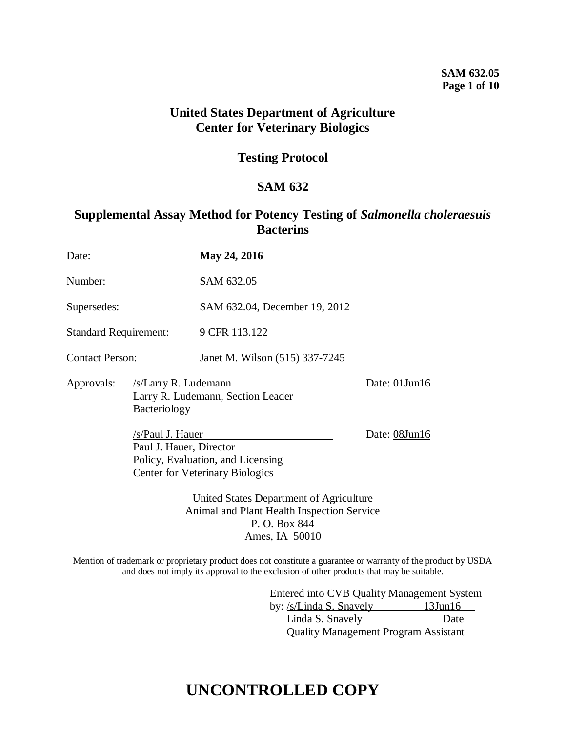## **SAM 632.05 Page 1 of 10**

## **United States Department of Agriculture Center for Veterinary Biologics**

## **Testing Protocol**

## **SAM 632**

## **Supplemental Assay Method for Potency Testing of** *Salmonella choleraesuis* **Bacterins**

| Date:                        |                                                                                                                          | May 24, 2016                                                                |                     |
|------------------------------|--------------------------------------------------------------------------------------------------------------------------|-----------------------------------------------------------------------------|---------------------|
| Number:                      |                                                                                                                          | SAM 632.05                                                                  |                     |
| Supersedes:                  |                                                                                                                          | SAM 632.04, December 19, 2012                                               |                     |
| <b>Standard Requirement:</b> |                                                                                                                          | 9 CFR 113.122                                                               |                     |
| <b>Contact Person:</b>       |                                                                                                                          | Janet M. Wilson (515) 337-7245                                              |                     |
| Approvals:                   | /s/Larry R. Ludemann<br>Larry R. Ludemann, Section Leader<br>Bacteriology                                                |                                                                             | Date: $01$ Jun $16$ |
|                              | /s/Paul J. Hauer<br>Paul J. Hauer, Director                                                                              | Policy, Evaluation, and Licensing<br><b>Center for Veterinary Biologics</b> | Date: 08Jun16       |
|                              | United States Department of Agriculture<br>Animal and Plant Health Inspection Service<br>P. O. Box 844<br>Ames, IA 50010 |                                                                             |                     |

Mention of trademark or proprietary product does not constitute a guarantee or warranty of the product by USDA and does not imply its approval to the exclusion of other products that may be suitable.

| Entered into CVB Quality Management System  |               |  |  |  |
|---------------------------------------------|---------------|--|--|--|
| by: /s/Linda S. Snavely                     | $13$ Jun $16$ |  |  |  |
| Linda S. Snavely                            | Date          |  |  |  |
| <b>Quality Management Program Assistant</b> |               |  |  |  |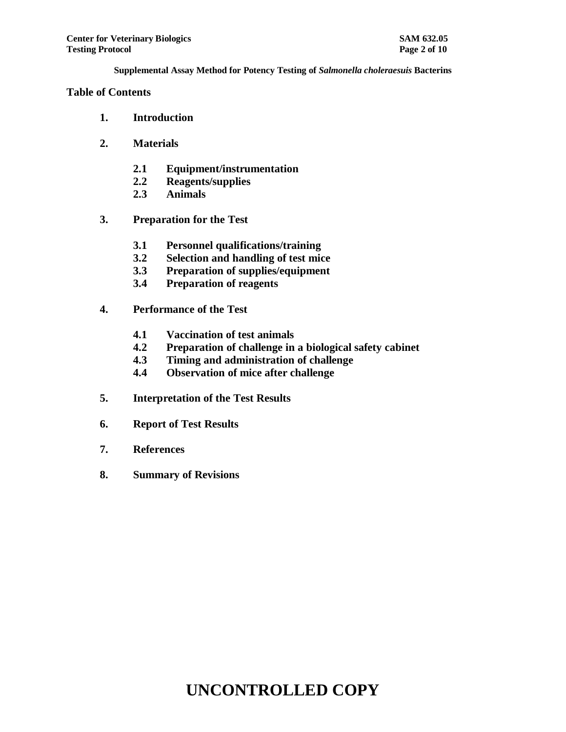### **Table of Contents**

- **1. Introduction**
- **2. Materials**
	- **2.1 Equipment/instrumentation**
	- **2.2 Reagents/supplies**
	- **2.3 Animals**
- **3. Preparation for the Test**
	- **3.1 Personnel qualifications/training**
	- **3.2 Selection and handling of test mice**
	- **3.3 Preparation of supplies/equipment**
	- **3.4 Preparation of reagents**
- **4. Performance of the Test**
	- **4.1 Vaccination of test animals**
	- **4.2 Preparation of challenge in a biological safety cabinet**
	- **4.3 Timing and administration of challenge**
	- **4.4 Observation of mice after challenge**
- **5. Interpretation of the Test Results**
- **6. Report of Test Results**
- **7. References**
- **8. Summary of Revisions**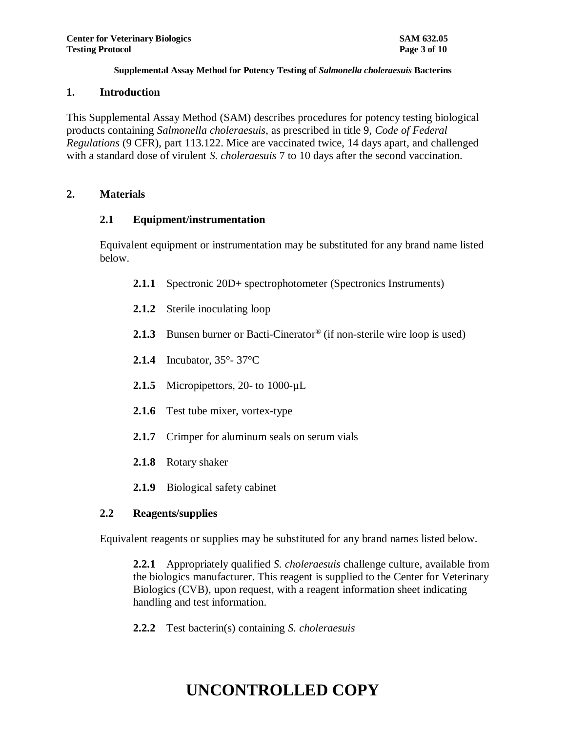### **1. Introduction**

This Supplemental Assay Method (SAM) describes procedures for potency testing biological products containing *Salmonella choleraesuis*, as prescribed in title 9, *Code of Federal Regulations* (9 CFR), part 113.122. Mice are vaccinated twice, 14 days apart, and challenged with a standard dose of virulent *S. choleraesuis* 7 to 10 days after the second vaccination.

## **2. Materials**

## **2.1 Equipment/instrumentation**

Equivalent equipment or instrumentation may be substituted for any brand name listed below.

- **2.1.1** Spectronic 20D**+** spectrophotometer (Spectronics Instruments)
- **2.1.2** Sterile inoculating loop
- 2.1.3 Bunsen burner or Bacti-Cinerator<sup>®</sup> (if non-sterile wire loop is used)
- **2.1.4** Incubator, 35°- 37°C
- **2.1.5** Micropipettors, 20- to 1000-µL
- **2.1.6** Test tube mixer, vortex-type
- **2.1.7** Crimper for aluminum seals on serum vials
- **2.1.8** Rotary shaker
- **2.1.9** Biological safety cabinet

## **2.2 Reagents/supplies**

Equivalent reagents or supplies may be substituted for any brand names listed below.

**2.2.1** Appropriately qualified *S. choleraesuis* challenge culture, available from the biologics manufacturer. This reagent is supplied to the Center for Veterinary Biologics (CVB), upon request, with a reagent information sheet indicating handling and test information.

**2.2.2** Test bacterin(s) containing *S. choleraesuis*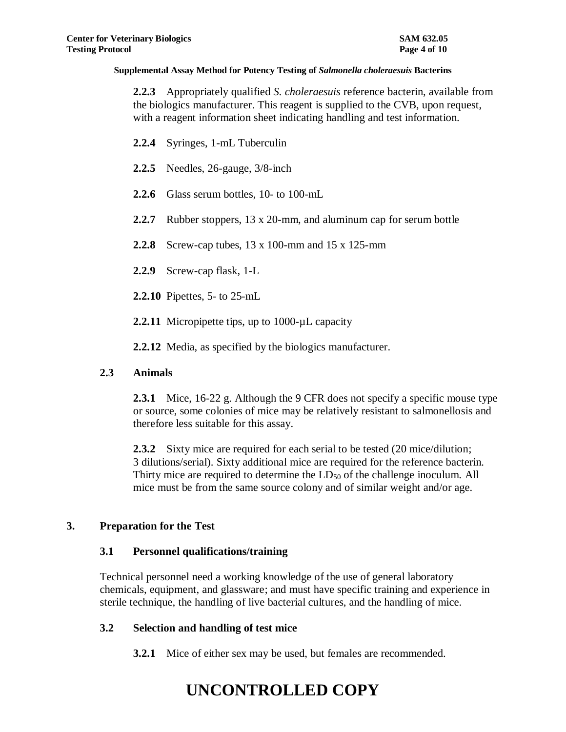**2.2.3** Appropriately qualified *S. choleraesuis* reference bacterin, available from the biologics manufacturer. This reagent is supplied to the CVB, upon request, with a reagent information sheet indicating handling and test information.

- **2.2.4** Syringes, 1-mL Tuberculin
- **2.2.5** Needles, 26-gauge, 3/8-inch
- **2.2.6** Glass serum bottles, 10- to 100-mL
- **2.2.7** Rubber stoppers, 13 x 20-mm, and aluminum cap for serum bottle
- **2.2.8** Screw-cap tubes, 13 x 100-mm and 15 x 125-mm
- **2.2.9** Screw-cap flask, 1-L
- **2.2.10** Pipettes, 5- to 25-mL
- **2.2.11** Micropipette tips, up to 1000-uL capacity

**2.2.12** Media, as specified by the biologics manufacturer.

### **2.3 Animals**

**2.3.1** Mice, 16-22 g. Although the 9 CFR does not specify a specific mouse type or source, some colonies of mice may be relatively resistant to salmonellosis and therefore less suitable for this assay.

**2.3.2** Sixty mice are required for each serial to be tested (20 mice/dilution; 3 dilutions/serial). Sixty additional mice are required for the reference bacterin. Thirty mice are required to determine the LD<sub>50</sub> of the challenge inoculum. All mice must be from the same source colony and of similar weight and/or age.

## **3. Preparation for the Test**

## **3.1 Personnel qualifications/training**

Technical personnel need a working knowledge of the use of general laboratory chemicals, equipment, and glassware; and must have specific training and experience in sterile technique, the handling of live bacterial cultures, and the handling of mice.

### **3.2 Selection and handling of test mice**

**3.2.1** Mice of either sex may be used, but females are recommended.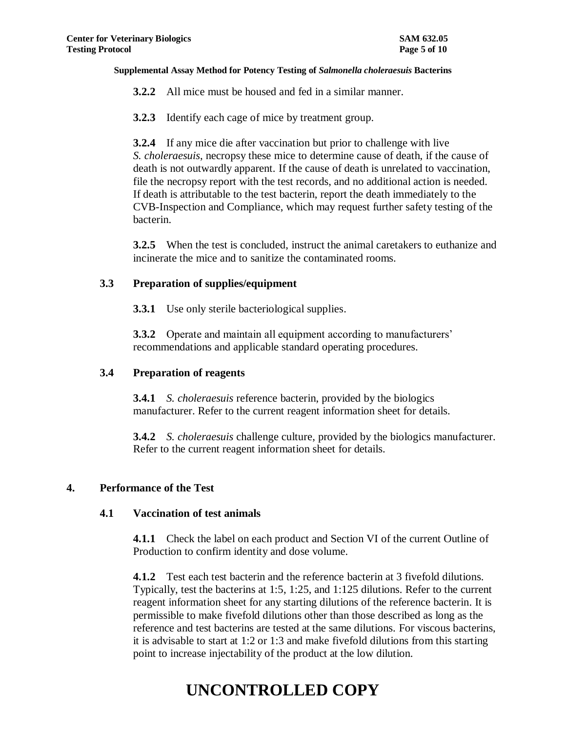- **3.2.2** All mice must be housed and fed in a similar manner.
- **3.2.3** Identify each cage of mice by treatment group.

**3.2.4** If any mice die after vaccination but prior to challenge with live *S. choleraesuis*, necropsy these mice to determine cause of death, if the cause of death is not outwardly apparent. If the cause of death is unrelated to vaccination, file the necropsy report with the test records, and no additional action is needed. If death is attributable to the test bacterin, report the death immediately to the CVB-Inspection and Compliance, which may request further safety testing of the bacterin.

**3.2.5** When the test is concluded, instruct the animal caretakers to euthanize and incinerate the mice and to sanitize the contaminated rooms.

### **3.3 Preparation of supplies/equipment**

**3.3.1** Use only sterile bacteriological supplies.

**3.3.2** Operate and maintain all equipment according to manufacturers' recommendations and applicable standard operating procedures.

### **3.4 Preparation of reagents**

**3.4.1** *S. choleraesuis* reference bacterin, provided by the biologics manufacturer. Refer to the current reagent information sheet for details.

**3.4.2** *S. choleraesuis* challenge culture, provided by the biologics manufacturer. Refer to the current reagent information sheet for details.

## **4. Performance of the Test**

### **4.1 Vaccination of test animals**

**4.1.1** Check the label on each product and Section VI of the current Outline of Production to confirm identity and dose volume.

**4.1.2** Test each test bacterin and the reference bacterin at 3 fivefold dilutions. Typically, test the bacterins at 1:5, 1:25, and 1:125 dilutions. Refer to the current reagent information sheet for any starting dilutions of the reference bacterin. It is permissible to make fivefold dilutions other than those described as long as the reference and test bacterins are tested at the same dilutions. For viscous bacterins, it is advisable to start at 1:2 or 1:3 and make fivefold dilutions from this starting point to increase injectability of the product at the low dilution.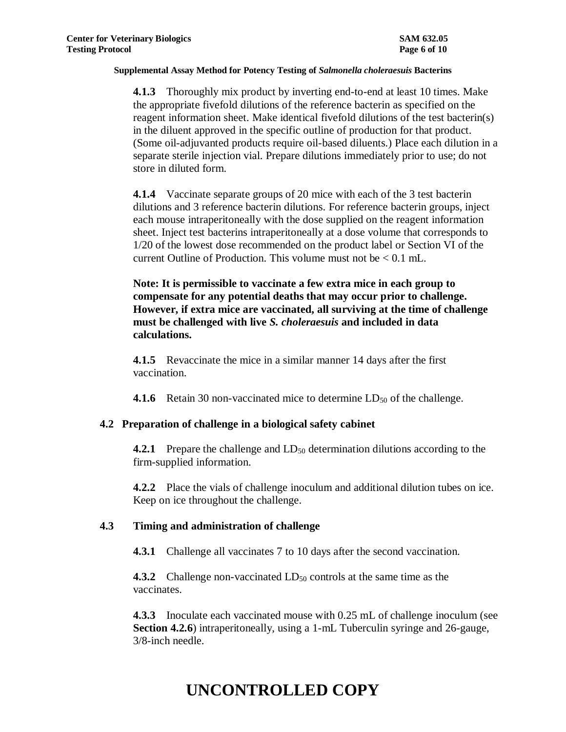**4.1.3** Thoroughly mix product by inverting end-to-end at least 10 times. Make the appropriate fivefold dilutions of the reference bacterin as specified on the reagent information sheet. Make identical fivefold dilutions of the test bacterin(s) in the diluent approved in the specific outline of production for that product. (Some oil-adjuvanted products require oil-based diluents.) Place each dilution in a separate sterile injection vial. Prepare dilutions immediately prior to use; do not store in diluted form.

**4.1.4** Vaccinate separate groups of 20 mice with each of the 3 test bacterin dilutions and 3 reference bacterin dilutions. For reference bacterin groups, inject each mouse intraperitoneally with the dose supplied on the reagent information sheet. Inject test bacterins intraperitoneally at a dose volume that corresponds to 1/20 of the lowest dose recommended on the product label or Section VI of the current Outline of Production. This volume must not be  $< 0.1$  mL.

**Note: It is permissible to vaccinate a few extra mice in each group to compensate for any potential deaths that may occur prior to challenge. However, if extra mice are vaccinated, all surviving at the time of challenge must be challenged with live** *S. choleraesuis* **and included in data calculations.**

**4.1.5** Revaccinate the mice in a similar manner 14 days after the first vaccination.

**4.1.6** Retain 30 non-vaccinated mice to determine  $LD_{50}$  of the challenge.

### **4.2 Preparation of challenge in a biological safety cabinet**

**4.2.1** Prepare the challenge and LD<sub>50</sub> determination dilutions according to the firm-supplied information.

**4.2.2** Place the vials of challenge inoculum and additional dilution tubes on ice. Keep on ice throughout the challenge.

## **4.3 Timing and administration of challenge**

**4.3.1** Challenge all vaccinates 7 to 10 days after the second vaccination.

**4.3.2** Challenge non-vaccinated LD<sub>50</sub> controls at the same time as the vaccinates.

**4.3.3** Inoculate each vaccinated mouse with 0.25 mL of challenge inoculum (see **Section 4.2.6**) intraperitoneally, using a 1-mL Tuberculin syringe and 26-gauge, 3/8-inch needle.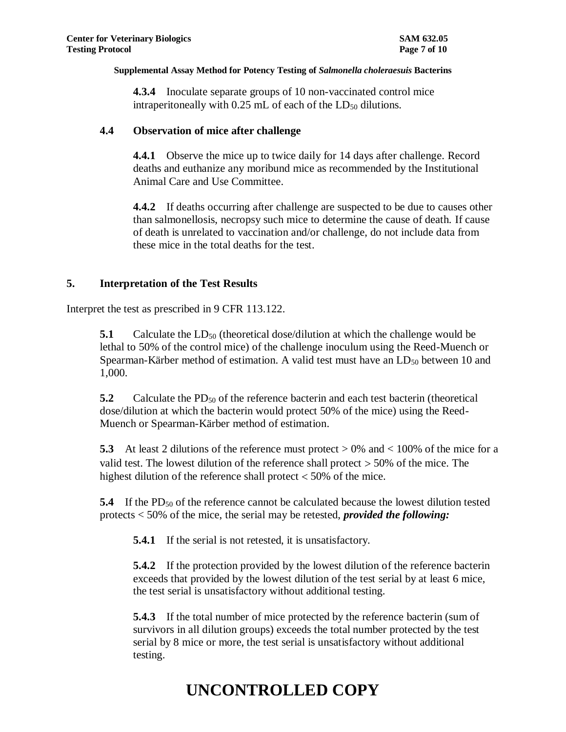**4.3.4** Inoculate separate groups of 10 non-vaccinated control mice intraperitoneally with  $0.25$  mL of each of the  $LD_{50}$  dilutions.

## **4.4 Observation of mice after challenge**

**4.4.1** Observe the mice up to twice daily for 14 days after challenge. Record deaths and euthanize any moribund mice as recommended by the Institutional Animal Care and Use Committee.

**4.4.2** If deaths occurring after challenge are suspected to be due to causes other than salmonellosis, necropsy such mice to determine the cause of death. If cause of death is unrelated to vaccination and/or challenge, do not include data from these mice in the total deaths for the test.

## **5. Interpretation of the Test Results**

Interpret the test as prescribed in 9 CFR 113.122.

**5.1** Calculate the  $LD_{50}$  (theoretical dose/dilution at which the challenge would be lethal to 50% of the control mice) of the challenge inoculum using the Reed-Muench or Spearman-Kärber method of estimation. A valid test must have an  $LD_{50}$  between 10 and 1,000.

**5.2** Calculate the PD<sub>50</sub> of the reference bacterin and each test bacterin (theoretical dose/dilution at which the bacterin would protect 50% of the mice) using the Reed-Muench or Spearman-Kärber method of estimation.

**5.3** At least 2 dilutions of the reference must protect > 0% and < 100% of the mice for a valid test. The lowest dilution of the reference shall protect  $>$  50% of the mice. The highest dilution of the reference shall protect  $<$  50% of the mice.

**5.4** If the PD<sub>50</sub> of the reference cannot be calculated because the lowest dilution tested protects < 50% of the mice, the serial may be retested, *provided the following:*

**5.4.1** If the serial is not retested, it is unsatisfactory.

**5.4.2** If the protection provided by the lowest dilution of the reference bacterin exceeds that provided by the lowest dilution of the test serial by at least 6 mice, the test serial is unsatisfactory without additional testing.

**5.4.3** If the total number of mice protected by the reference bacterin (sum of survivors in all dilution groups) exceeds the total number protected by the test serial by 8 mice or more, the test serial is unsatisfactory without additional testing.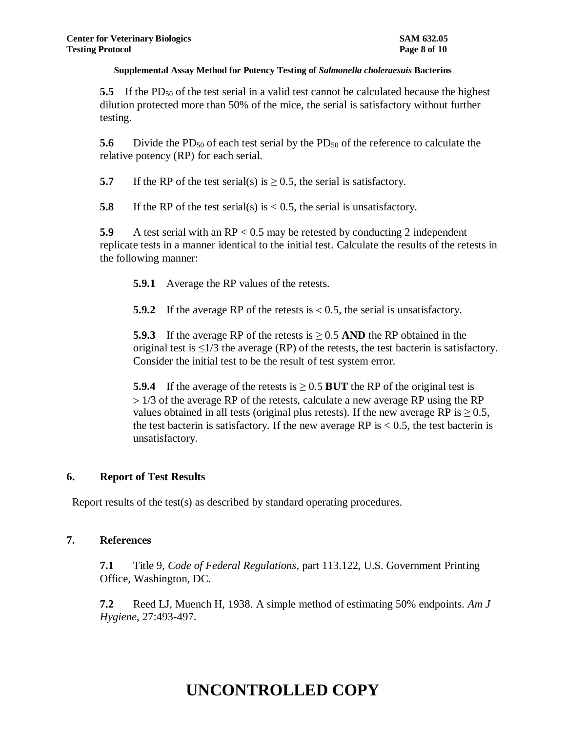**5.5** If the PD<sub>50</sub> of the test serial in a valid test cannot be calculated because the highest dilution protected more than 50% of the mice, the serial is satisfactory without further testing.

**5.6** Divide the PD<sub>50</sub> of each test serial by the PD<sub>50</sub> of the reference to calculate the relative potency (RP) for each serial.

**5.7** If the RP of the test serial(s) is  $\geq$  0.5, the serial is satisfactory.

**5.8** If the RP of the test serial(s) is  $< 0.5$ , the serial is unsatisfactory.

**5.9** A test serial with an RP < 0.5 may be retested by conducting 2 independent replicate tests in a manner identical to the initial test. Calculate the results of the retests in the following manner:

**5.9.1** Average the RP values of the retests.

**5.9.2** If the average RP of the retests is  $\leq 0.5$ , the serial is unsatisfactory.

**5.9.3** If the average RP of the retests is  $\geq$  0.5 AND the RP obtained in the original test is  $\leq$ 1/3 the average (RP) of the retests, the test bacterin is satisfactory. Consider the initial test to be the result of test system error.

**5.9.4** If the average of the retests is  $\geq 0.5$  BUT the RP of the original test is 1/3 of the average RP of the retests, calculate a new average RP using the RP values obtained in all tests (original plus retests). If the new average RP is  $\geq$  0.5, the test bacterin is satisfactory. If the new average RP is  $< 0.5$ , the test bacterin is unsatisfactory.

### **6. Report of Test Results**

Report results of the test(s) as described by standard operating procedures.

### **7. References**

**7.1** Title 9, *Code of Federal Regulations*, part 113.122, U.S. Government Printing Office, Washington, DC.

**7.2** Reed LJ, Muench H, 1938. A simple method of estimating 50% endpoints. *Am J Hygiene*, 27:493-497.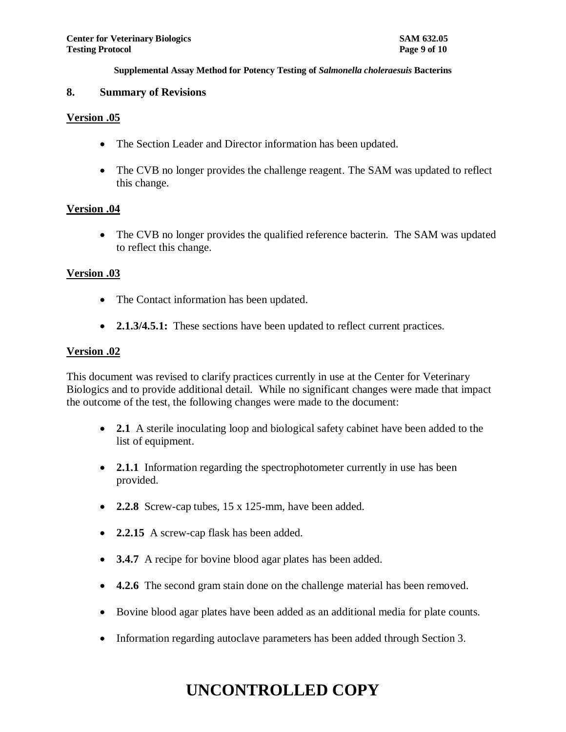### **8. Summary of Revisions**

### **Version .05**

- The Section Leader and Director information has been updated.
- The CVB no longer provides the challenge reagent. The SAM was updated to reflect this change.

## **Version .04**

• The CVB no longer provides the qualified reference bacterin. The SAM was updated to reflect this change.

## **Version .03**

- The Contact information has been updated.
- **2.1.3/4.5.1:** These sections have been updated to reflect current practices.

### **Version .02**

This document was revised to clarify practices currently in use at the Center for Veterinary Biologics and to provide additional detail. While no significant changes were made that impact the outcome of the test, the following changes were made to the document:

- **2.1** A sterile inoculating loop and biological safety cabinet have been added to the list of equipment.
- **2.1.1** Information regarding the spectrophotometer currently in use has been provided.
- **2.2.8** Screw-cap tubes, 15 x 125-mm, have been added.
- **2.2.15** A screw-cap flask has been added.
- **3.4.7** A recipe for bovine blood agar plates has been added.
- **4.2.6** The second gram stain done on the challenge material has been removed.
- Bovine blood agar plates have been added as an additional media for plate counts.
- Information regarding autoclave parameters has been added through Section 3.